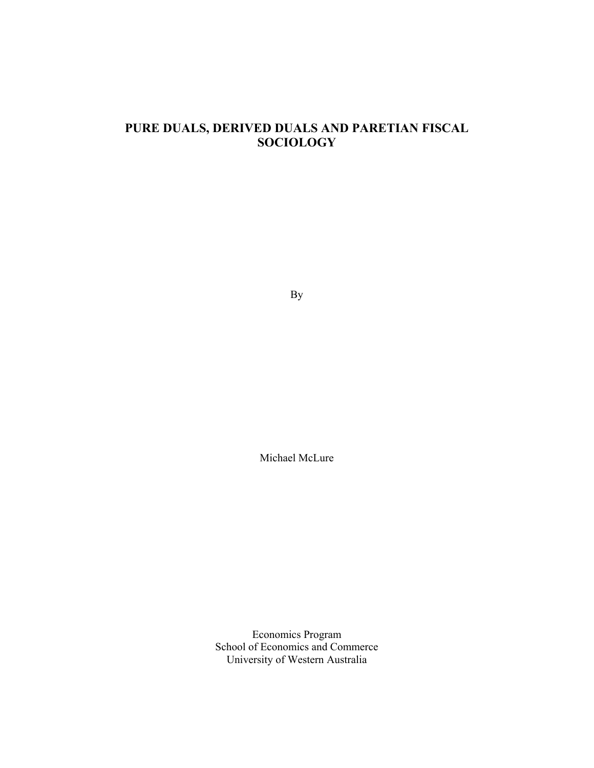# **PURE DUALS, DERIVED DUALS AND PARETIAN FISCAL SOCIOLOGY**

By

Michael McLure

Economics Program School of Economics and Commerce University of Western Australia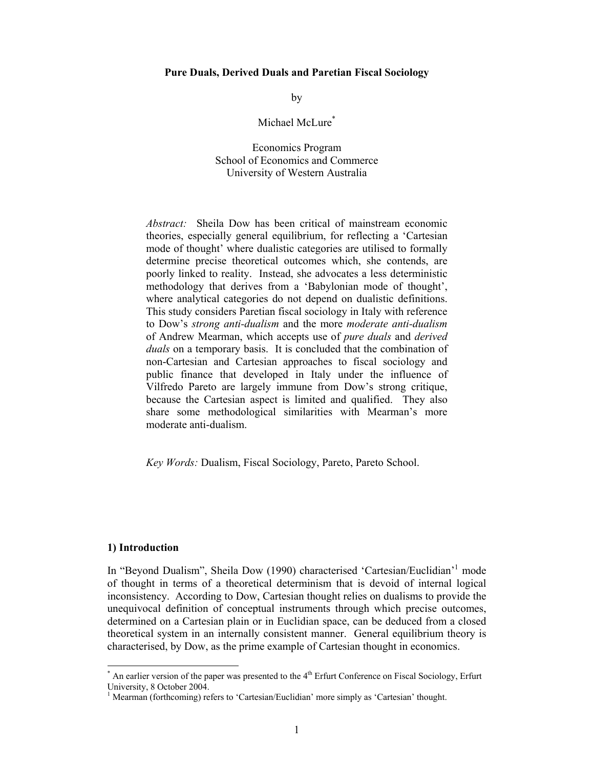### **Pure Duals, Derived Duals and Paretian Fiscal Sociology**

by

Michael McLure<sup>\*</sup>

Economics Program School of Economics and Commerce University of Western Australia

*Abstract:* Sheila Dow has been critical of mainstream economic theories, especially general equilibrium, for reflecting a 'Cartesian mode of thought' where dualistic categories are utilised to formally determine precise theoretical outcomes which, she contends, are poorly linked to reality. Instead, she advocates a less deterministic methodology that derives from a 'Babylonian mode of thought', where analytical categories do not depend on dualistic definitions. This study considers Paretian fiscal sociology in Italy with reference to Dow's *strong anti-dualism* and the more *moderate anti-dualism* of Andrew Mearman, which accepts use of *pure duals* and *derived duals* on a temporary basis. It is concluded that the combination of non-Cartesian and Cartesian approaches to fiscal sociology and public finance that developed in Italy under the influence of Vilfredo Pareto are largely immune from Dow's strong critique, because the Cartesian aspect is limited and qualified. They also share some methodological similarities with Mearman's more moderate anti-dualism.

*Key Words:* Dualism, Fiscal Sociology, Pareto, Pareto School.

#### **1) Introduction**

In "Beyond Dualism", Sheila Dow (1990) characterised 'Cartesian/Euclidian'<sup>1</sup> mode of thought in terms of a theoretical determinism that is devoid of internal logical inconsistency. According to Dow, Cartesian thought relies on dualisms to provide the unequivocal definition of conceptual instruments through which precise outcomes, determined on a Cartesian plain or in Euclidian space, can be deduced from a closed theoretical system in an internally consistent manner. General equilibrium theory is characterised, by Dow, as the prime example of Cartesian thought in economics.

 $*$  An earlier version of the paper was presented to the  $4<sup>th</sup>$  Erfurt Conference on Fiscal Sociology, Erfurt University, 8 October 2004.

<sup>&</sup>lt;sup>1</sup> Mearman (forthcoming) refers to 'Cartesian/Euclidian' more simply as 'Cartesian' thought.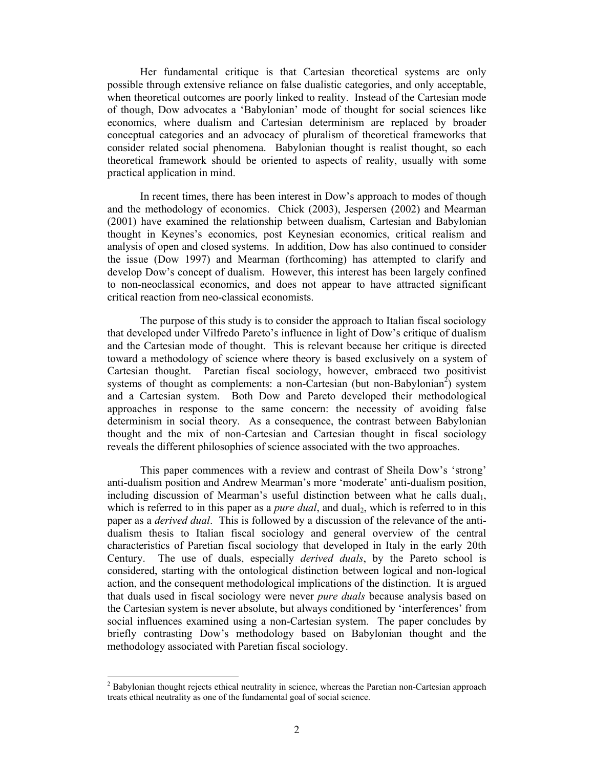Her fundamental critique is that Cartesian theoretical systems are only possible through extensive reliance on false dualistic categories, and only acceptable, when theoretical outcomes are poorly linked to reality. Instead of the Cartesian mode of though, Dow advocates a 'Babylonian' mode of thought for social sciences like economics, where dualism and Cartesian determinism are replaced by broader conceptual categories and an advocacy of pluralism of theoretical frameworks that consider related social phenomena. Babylonian thought is realist thought, so each theoretical framework should be oriented to aspects of reality, usually with some practical application in mind.

In recent times, there has been interest in Dow's approach to modes of though and the methodology of economics. Chick (2003), Jespersen (2002) and Mearman (2001) have examined the relationship between dualism, Cartesian and Babylonian thought in Keynes's economics, post Keynesian economics, critical realism and analysis of open and closed systems. In addition, Dow has also continued to consider the issue (Dow 1997) and Mearman (forthcoming) has attempted to clarify and develop Dow's concept of dualism. However, this interest has been largely confined to non-neoclassical economics, and does not appear to have attracted significant critical reaction from neo-classical economists.

The purpose of this study is to consider the approach to Italian fiscal sociology that developed under Vilfredo Pareto's influence in light of Dow's critique of dualism and the Cartesian mode of thought. This is relevant because her critique is directed toward a methodology of science where theory is based exclusively on a system of Cartesian thought. Paretian fiscal sociology, however, embraced two positivist systems of thought as complements: a non-Cartesian (but non-Babylonian<sup>2</sup>) system and a Cartesian system. Both Dow and Pareto developed their methodological approaches in response to the same concern: the necessity of avoiding false determinism in social theory. As a consequence, the contrast between Babylonian thought and the mix of non-Cartesian and Cartesian thought in fiscal sociology reveals the different philosophies of science associated with the two approaches.

This paper commences with a review and contrast of Sheila Dow's 'strong' anti-dualism position and Andrew Mearman's more 'moderate' anti-dualism position, including discussion of Mearman's useful distinction between what he calls dual<sub>1</sub>, which is referred to in this paper as a *pure dual*, and dual<sub>2</sub>, which is referred to in this paper as a *derived dual*. This is followed by a discussion of the relevance of the antidualism thesis to Italian fiscal sociology and general overview of the central characteristics of Paretian fiscal sociology that developed in Italy in the early 20th Century. The use of duals, especially *derived duals*, by the Pareto school is considered, starting with the ontological distinction between logical and non-logical action, and the consequent methodological implications of the distinction. It is argued that duals used in fiscal sociology were never *pure duals* because analysis based on the Cartesian system is never absolute, but always conditioned by 'interferences' from social influences examined using a non-Cartesian system. The paper concludes by briefly contrasting Dow's methodology based on Babylonian thought and the methodology associated with Paretian fiscal sociology.

 $2$  Babylonian thought rejects ethical neutrality in science, whereas the Paretian non-Cartesian approach treats ethical neutrality as one of the fundamental goal of social science.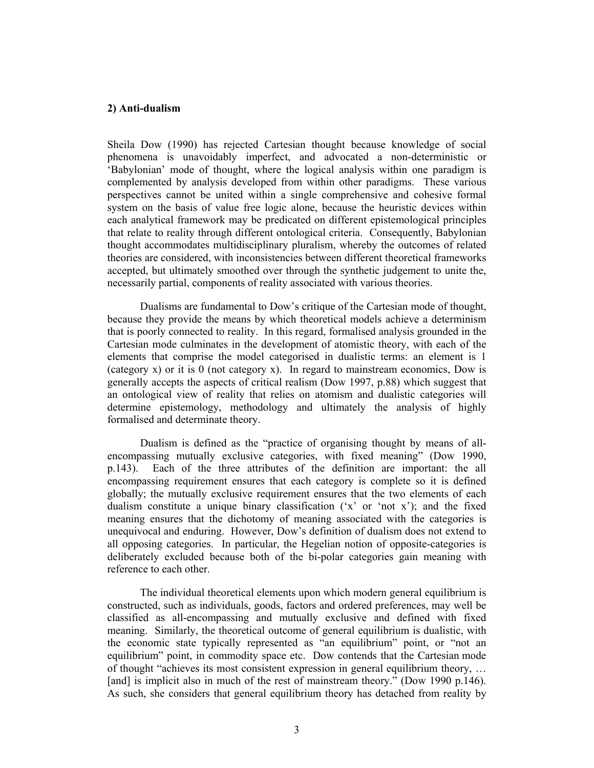### **2) Anti-dualism**

Sheila Dow (1990) has rejected Cartesian thought because knowledge of social phenomena is unavoidably imperfect, and advocated a non-deterministic or 'Babylonian' mode of thought, where the logical analysis within one paradigm is complemented by analysis developed from within other paradigms. These various perspectives cannot be united within a single comprehensive and cohesive formal system on the basis of value free logic alone, because the heuristic devices within each analytical framework may be predicated on different epistemological principles that relate to reality through different ontological criteria. Consequently, Babylonian thought accommodates multidisciplinary pluralism, whereby the outcomes of related theories are considered, with inconsistencies between different theoretical frameworks accepted, but ultimately smoothed over through the synthetic judgement to unite the, necessarily partial, components of reality associated with various theories.

Dualisms are fundamental to Dow's critique of the Cartesian mode of thought, because they provide the means by which theoretical models achieve a determinism that is poorly connected to reality. In this regard, formalised analysis grounded in the Cartesian mode culminates in the development of atomistic theory, with each of the elements that comprise the model categorised in dualistic terms: an element is 1 (category x) or it is 0 (not category x). In regard to mainstream economics, Dow is generally accepts the aspects of critical realism (Dow 1997, p.88) which suggest that an ontological view of reality that relies on atomism and dualistic categories will determine epistemology, methodology and ultimately the analysis of highly formalised and determinate theory.

Dualism is defined as the "practice of organising thought by means of allencompassing mutually exclusive categories, with fixed meaning" (Dow 1990, p.143). Each of the three attributes of the definition are important: the all encompassing requirement ensures that each category is complete so it is defined globally; the mutually exclusive requirement ensures that the two elements of each dualism constitute a unique binary classification  $(x^2)$  or 'not x'); and the fixed meaning ensures that the dichotomy of meaning associated with the categories is unequivocal and enduring. However, Dow's definition of dualism does not extend to all opposing categories. In particular, the Hegelian notion of opposite-categories is deliberately excluded because both of the bi-polar categories gain meaning with reference to each other.

The individual theoretical elements upon which modern general equilibrium is constructed, such as individuals, goods, factors and ordered preferences, may well be classified as all-encompassing and mutually exclusive and defined with fixed meaning. Similarly, the theoretical outcome of general equilibrium is dualistic, with the economic state typically represented as "an equilibrium" point, or "not an equilibrium" point, in commodity space etc. Dow contends that the Cartesian mode of thought "achieves its most consistent expression in general equilibrium theory, … [and] is implicit also in much of the rest of mainstream theory." (Dow 1990 p.146). As such, she considers that general equilibrium theory has detached from reality by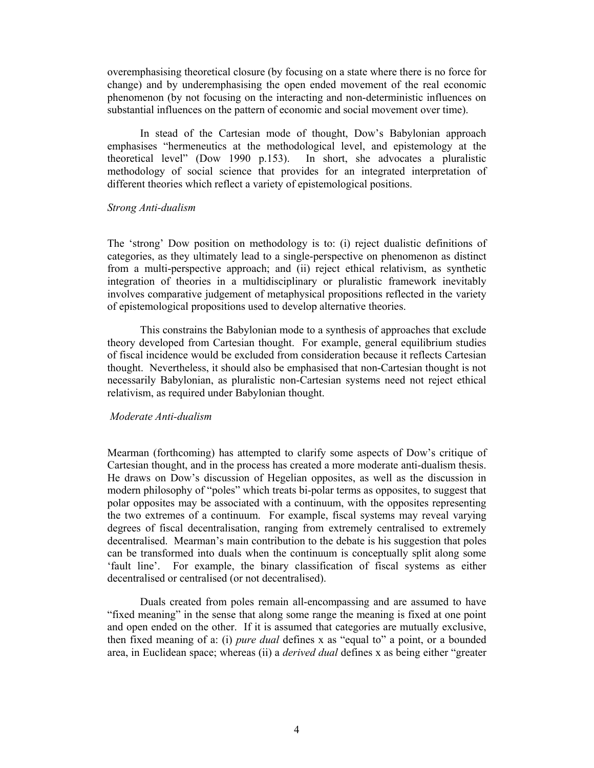overemphasising theoretical closure (by focusing on a state where there is no force for change) and by underemphasising the open ended movement of the real economic phenomenon (by not focusing on the interacting and non-deterministic influences on substantial influences on the pattern of economic and social movement over time).

In stead of the Cartesian mode of thought, Dow's Babylonian approach emphasises "hermeneutics at the methodological level, and epistemology at the theoretical level" (Dow 1990 p.153). In short, she advocates a pluralistic methodology of social science that provides for an integrated interpretation of different theories which reflect a variety of epistemological positions.

### *Strong Anti-dualism*

The 'strong' Dow position on methodology is to: (i) reject dualistic definitions of categories, as they ultimately lead to a single-perspective on phenomenon as distinct from a multi-perspective approach; and (ii) reject ethical relativism, as synthetic integration of theories in a multidisciplinary or pluralistic framework inevitably involves comparative judgement of metaphysical propositions reflected in the variety of epistemological propositions used to develop alternative theories.

This constrains the Babylonian mode to a synthesis of approaches that exclude theory developed from Cartesian thought. For example, general equilibrium studies of fiscal incidence would be excluded from consideration because it reflects Cartesian thought. Nevertheless, it should also be emphasised that non-Cartesian thought is not necessarily Babylonian, as pluralistic non-Cartesian systems need not reject ethical relativism, as required under Babylonian thought.

## *Moderate Anti-dualism*

Mearman (forthcoming) has attempted to clarify some aspects of Dow's critique of Cartesian thought, and in the process has created a more moderate anti-dualism thesis. He draws on Dow's discussion of Hegelian opposites, as well as the discussion in modern philosophy of "poles" which treats bi-polar terms as opposites, to suggest that polar opposites may be associated with a continuum, with the opposites representing the two extremes of a continuum. For example, fiscal systems may reveal varying degrees of fiscal decentralisation, ranging from extremely centralised to extremely decentralised. Mearman's main contribution to the debate is his suggestion that poles can be transformed into duals when the continuum is conceptually split along some 'fault line'. For example, the binary classification of fiscal systems as either decentralised or centralised (or not decentralised).

Duals created from poles remain all-encompassing and are assumed to have "fixed meaning" in the sense that along some range the meaning is fixed at one point and open ended on the other. If it is assumed that categories are mutually exclusive, then fixed meaning of a: (i) *pure dual* defines x as "equal to" a point, or a bounded area, in Euclidean space; whereas (ii) a *derived dual* defines x as being either "greater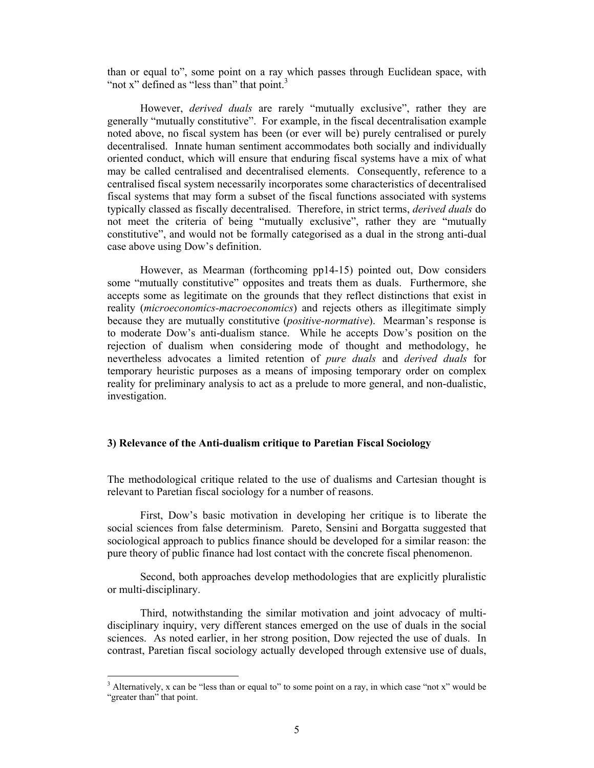than or equal to", some point on a ray which passes through Euclidean space, with "not x" defined as "less than" that point. $3$ 

However, *derived duals* are rarely "mutually exclusive", rather they are generally "mutually constitutive". For example, in the fiscal decentralisation example noted above, no fiscal system has been (or ever will be) purely centralised or purely decentralised. Innate human sentiment accommodates both socially and individually oriented conduct, which will ensure that enduring fiscal systems have a mix of what may be called centralised and decentralised elements. Consequently, reference to a centralised fiscal system necessarily incorporates some characteristics of decentralised fiscal systems that may form a subset of the fiscal functions associated with systems typically classed as fiscally decentralised. Therefore, in strict terms, *derived duals* do not meet the criteria of being "mutually exclusive", rather they are "mutually constitutive", and would not be formally categorised as a dual in the strong anti-dual case above using Dow's definition.

However, as Mearman (forthcoming pp14-15) pointed out, Dow considers some "mutually constitutive" opposites and treats them as duals. Furthermore, she accepts some as legitimate on the grounds that they reflect distinctions that exist in reality (*microeconomics-macroeconomics*) and rejects others as illegitimate simply because they are mutually constitutive (*positive-normative*). Mearman's response is to moderate Dow's anti-dualism stance. While he accepts Dow's position on the rejection of dualism when considering mode of thought and methodology, he nevertheless advocates a limited retention of *pure duals* and *derived duals* for temporary heuristic purposes as a means of imposing temporary order on complex reality for preliminary analysis to act as a prelude to more general, and non-dualistic, investigation.

# **3) Relevance of the Anti-dualism critique to Paretian Fiscal Sociology**

The methodological critique related to the use of dualisms and Cartesian thought is relevant to Paretian fiscal sociology for a number of reasons.

First, Dow's basic motivation in developing her critique is to liberate the social sciences from false determinism. Pareto, Sensini and Borgatta suggested that sociological approach to publics finance should be developed for a similar reason: the pure theory of public finance had lost contact with the concrete fiscal phenomenon.

Second, both approaches develop methodologies that are explicitly pluralistic or multi-disciplinary.

Third, notwithstanding the similar motivation and joint advocacy of multidisciplinary inquiry, very different stances emerged on the use of duals in the social sciences. As noted earlier, in her strong position, Dow rejected the use of duals. In contrast, Paretian fiscal sociology actually developed through extensive use of duals,

<sup>&</sup>lt;sup>3</sup> Alternatively, x can be "less than or equal to" to some point on a ray, in which case "not x" would be "greater than" that point.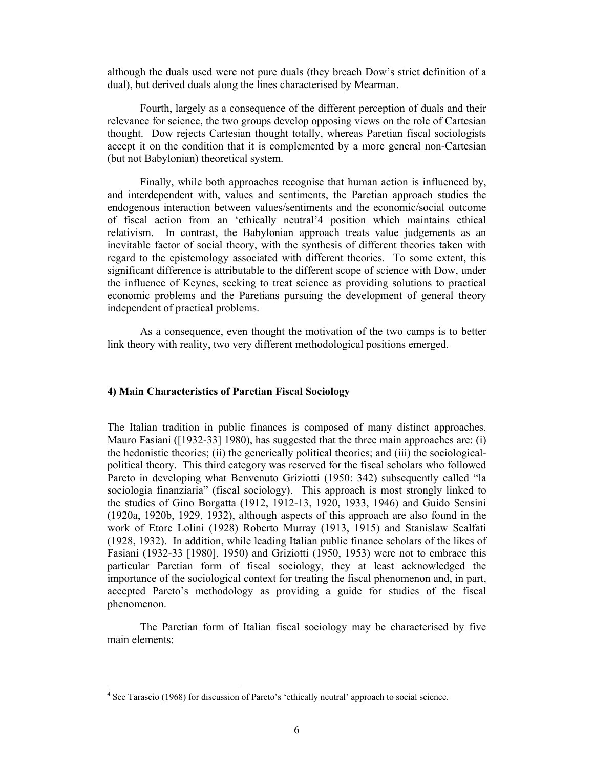although the duals used were not pure duals (they breach Dow's strict definition of a dual), but derived duals along the lines characterised by Mearman.

Fourth, largely as a consequence of the different perception of duals and their relevance for science, the two groups develop opposing views on the role of Cartesian thought. Dow rejects Cartesian thought totally, whereas Paretian fiscal sociologists accept it on the condition that it is complemented by a more general non-Cartesian (but not Babylonian) theoretical system.

Finally, while both approaches recognise that human action is influenced by, and interdependent with, values and sentiments, the Paretian approach studies the endogenous interaction between values/sentiments and the economic/social outcome of fiscal action from an 'ethically neutral'4 position which maintains ethical relativism. In contrast, the Babylonian approach treats value judgements as an inevitable factor of social theory, with the synthesis of different theories taken with regard to the epistemology associated with different theories. To some extent, this significant difference is attributable to the different scope of science with Dow, under the influence of Keynes, seeking to treat science as providing solutions to practical economic problems and the Paretians pursuing the development of general theory independent of practical problems.

As a consequence, even thought the motivation of the two camps is to better link theory with reality, two very different methodological positions emerged.

## **4) Main Characteristics of Paretian Fiscal Sociology**

The Italian tradition in public finances is composed of many distinct approaches. Mauro Fasiani ([1932-33] 1980), has suggested that the three main approaches are: (i) the hedonistic theories; (ii) the generically political theories; and (iii) the sociologicalpolitical theory. This third category was reserved for the fiscal scholars who followed Pareto in developing what Benvenuto Griziotti (1950: 342) subsequently called "la sociologia finanziaria" (fiscal sociology). This approach is most strongly linked to the studies of Gino Borgatta (1912, 1912-13, 1920, 1933, 1946) and Guido Sensini (1920a, 1920b, 1929, 1932), although aspects of this approach are also found in the work of Etore Lolini (1928) Roberto Murray (1913, 1915) and Stanislaw Scalfati (1928, 1932). In addition, while leading Italian public finance scholars of the likes of Fasiani (1932-33 [1980], 1950) and Griziotti (1950, 1953) were not to embrace this particular Paretian form of fiscal sociology, they at least acknowledged the importance of the sociological context for treating the fiscal phenomenon and, in part, accepted Pareto's methodology as providing a guide for studies of the fiscal phenomenon.

The Paretian form of Italian fiscal sociology may be characterised by five main elements:

<sup>&</sup>lt;sup>4</sup> See Tarascio (1968) for discussion of Pareto's 'ethically neutral' approach to social science.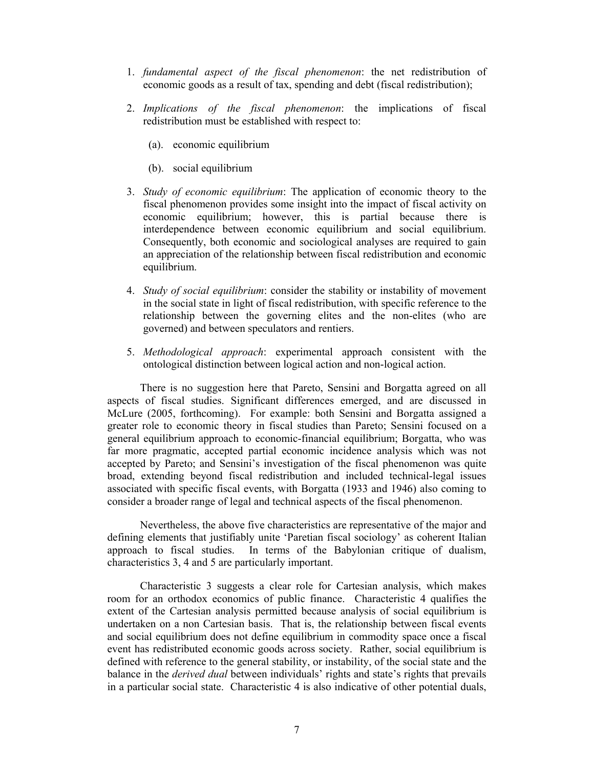- 1. *fundamental aspect of the fiscal phenomenon*: the net redistribution of economic goods as a result of tax, spending and debt (fiscal redistribution);
- 2. *Implications of the fiscal phenomenon*: the implications of fiscal redistribution must be established with respect to:
	- (a). economic equilibrium
	- (b). social equilibrium
- 3. *Study of economic equilibrium*: The application of economic theory to the fiscal phenomenon provides some insight into the impact of fiscal activity on economic equilibrium; however, this is partial because there is interdependence between economic equilibrium and social equilibrium. Consequently, both economic and sociological analyses are required to gain an appreciation of the relationship between fiscal redistribution and economic equilibrium.
- 4. *Study of social equilibrium*: consider the stability or instability of movement in the social state in light of fiscal redistribution, with specific reference to the relationship between the governing elites and the non-elites (who are governed) and between speculators and rentiers.
- 5. *Methodological approach*: experimental approach consistent with the ontological distinction between logical action and non-logical action.

There is no suggestion here that Pareto, Sensini and Borgatta agreed on all aspects of fiscal studies. Significant differences emerged, and are discussed in McLure (2005, forthcoming). For example: both Sensini and Borgatta assigned a greater role to economic theory in fiscal studies than Pareto; Sensini focused on a general equilibrium approach to economic-financial equilibrium; Borgatta, who was far more pragmatic, accepted partial economic incidence analysis which was not accepted by Pareto; and Sensini's investigation of the fiscal phenomenon was quite broad, extending beyond fiscal redistribution and included technical-legal issues associated with specific fiscal events, with Borgatta (1933 and 1946) also coming to consider a broader range of legal and technical aspects of the fiscal phenomenon.

Nevertheless, the above five characteristics are representative of the major and defining elements that justifiably unite 'Paretian fiscal sociology' as coherent Italian approach to fiscal studies. In terms of the Babylonian critique of dualism, characteristics 3, 4 and 5 are particularly important.

Characteristic 3 suggests a clear role for Cartesian analysis, which makes room for an orthodox economics of public finance. Characteristic 4 qualifies the extent of the Cartesian analysis permitted because analysis of social equilibrium is undertaken on a non Cartesian basis. That is, the relationship between fiscal events and social equilibrium does not define equilibrium in commodity space once a fiscal event has redistributed economic goods across society. Rather, social equilibrium is defined with reference to the general stability, or instability, of the social state and the balance in the *derived dual* between individuals' rights and state's rights that prevails in a particular social state. Characteristic 4 is also indicative of other potential duals,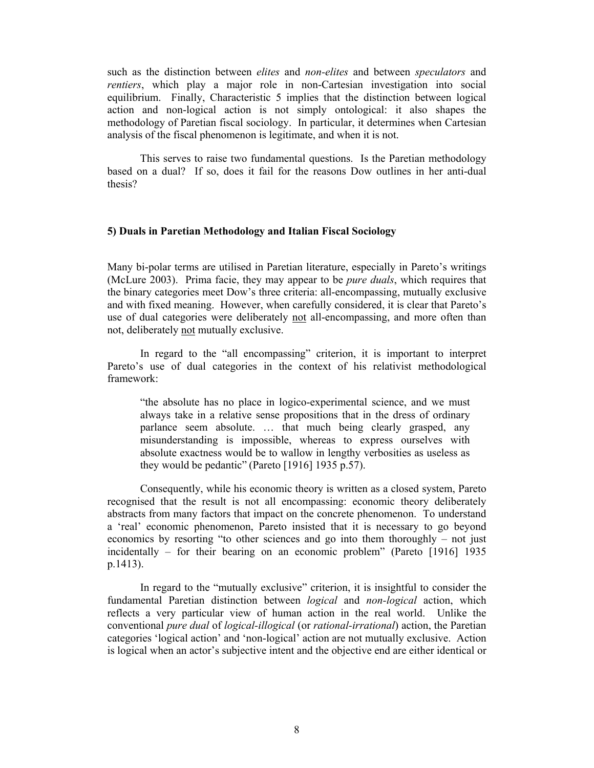such as the distinction between *elites* and *non-elites* and between *speculators* and *rentiers*, which play a major role in non-Cartesian investigation into social equilibrium. Finally, Characteristic 5 implies that the distinction between logical action and non-logical action is not simply ontological: it also shapes the methodology of Paretian fiscal sociology. In particular, it determines when Cartesian analysis of the fiscal phenomenon is legitimate, and when it is not.

This serves to raise two fundamental questions. Is the Paretian methodology based on a dual? If so, does it fail for the reasons Dow outlines in her anti-dual thesis?

## **5) Duals in Paretian Methodology and Italian Fiscal Sociology**

Many bi-polar terms are utilised in Paretian literature, especially in Pareto's writings (McLure 2003). Prima facie, they may appear to be *pure duals*, which requires that the binary categories meet Dow's three criteria: all-encompassing, mutually exclusive and with fixed meaning. However, when carefully considered, it is clear that Pareto's use of dual categories were deliberately not all-encompassing, and more often than not, deliberately not mutually exclusive.

In regard to the "all encompassing" criterion, it is important to interpret Pareto's use of dual categories in the context of his relativist methodological framework:

"the absolute has no place in logico-experimental science, and we must always take in a relative sense propositions that in the dress of ordinary parlance seem absolute. … that much being clearly grasped, any misunderstanding is impossible, whereas to express ourselves with absolute exactness would be to wallow in lengthy verbosities as useless as they would be pedantic" (Pareto [1916] 1935 p.57).

Consequently, while his economic theory is written as a closed system, Pareto recognised that the result is not all encompassing: economic theory deliberately abstracts from many factors that impact on the concrete phenomenon. To understand a 'real' economic phenomenon, Pareto insisted that it is necessary to go beyond economics by resorting "to other sciences and go into them thoroughly – not just incidentally – for their bearing on an economic problem" (Pareto [1916] 1935 p.1413).

In regard to the "mutually exclusive" criterion, it is insightful to consider the fundamental Paretian distinction between *logical* and *non-logical* action, which reflects a very particular view of human action in the real world. Unlike the conventional *pure dual* of *logical-illogical* (or *rational-irrational*) action, the Paretian categories 'logical action' and 'non-logical' action are not mutually exclusive. Action is logical when an actor's subjective intent and the objective end are either identical or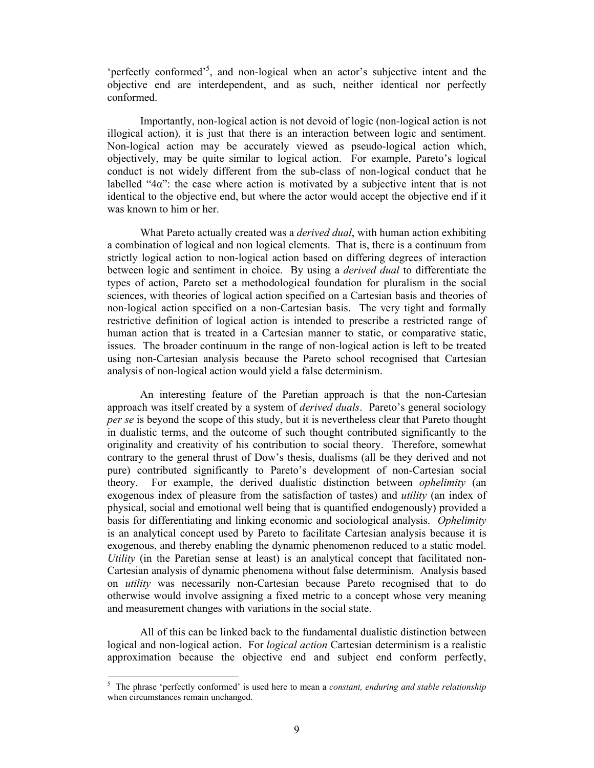'perfectly conformed'<sup>5</sup>, and non-logical when an actor's subjective intent and the objective end are interdependent, and as such, neither identical nor perfectly conformed.

Importantly, non-logical action is not devoid of logic (non-logical action is not illogical action), it is just that there is an interaction between logic and sentiment. Non-logical action may be accurately viewed as pseudo-logical action which, objectively, may be quite similar to logical action. For example, Pareto's logical conduct is not widely different from the sub-class of non-logical conduct that he labelled " $4\alpha$ ": the case where action is motivated by a subjective intent that is not identical to the objective end, but where the actor would accept the objective end if it was known to him or her.

What Pareto actually created was a *derived dual*, with human action exhibiting a combination of logical and non logical elements. That is, there is a continuum from strictly logical action to non-logical action based on differing degrees of interaction between logic and sentiment in choice. By using a *derived dual* to differentiate the types of action, Pareto set a methodological foundation for pluralism in the social sciences, with theories of logical action specified on a Cartesian basis and theories of non-logical action specified on a non-Cartesian basis. The very tight and formally restrictive definition of logical action is intended to prescribe a restricted range of human action that is treated in a Cartesian manner to static, or comparative static, issues. The broader continuum in the range of non-logical action is left to be treated using non-Cartesian analysis because the Pareto school recognised that Cartesian analysis of non-logical action would yield a false determinism.

An interesting feature of the Paretian approach is that the non-Cartesian approach was itself created by a system of *derived duals*. Pareto's general sociology *per se* is beyond the scope of this study, but it is nevertheless clear that Pareto thought in dualistic terms, and the outcome of such thought contributed significantly to the originality and creativity of his contribution to social theory. Therefore, somewhat contrary to the general thrust of Dow's thesis, dualisms (all be they derived and not pure) contributed significantly to Pareto's development of non-Cartesian social theory. For example, the derived dualistic distinction between *ophelimity* (an exogenous index of pleasure from the satisfaction of tastes) and *utility* (an index of physical, social and emotional well being that is quantified endogenously) provided a basis for differentiating and linking economic and sociological analysis. *Ophelimity* is an analytical concept used by Pareto to facilitate Cartesian analysis because it is exogenous, and thereby enabling the dynamic phenomenon reduced to a static model. *Utility* (in the Paretian sense at least) is an analytical concept that facilitated non-Cartesian analysis of dynamic phenomena without false determinism. Analysis based on *utility* was necessarily non-Cartesian because Pareto recognised that to do otherwise would involve assigning a fixed metric to a concept whose very meaning and measurement changes with variations in the social state.

All of this can be linked back to the fundamental dualistic distinction between logical and non-logical action. For *logical action* Cartesian determinism is a realistic approximation because the objective end and subject end conform perfectly,

<sup>5</sup> The phrase 'perfectly conformed' is used here to mean a *constant, enduring and stable relationship* when circumstances remain unchanged.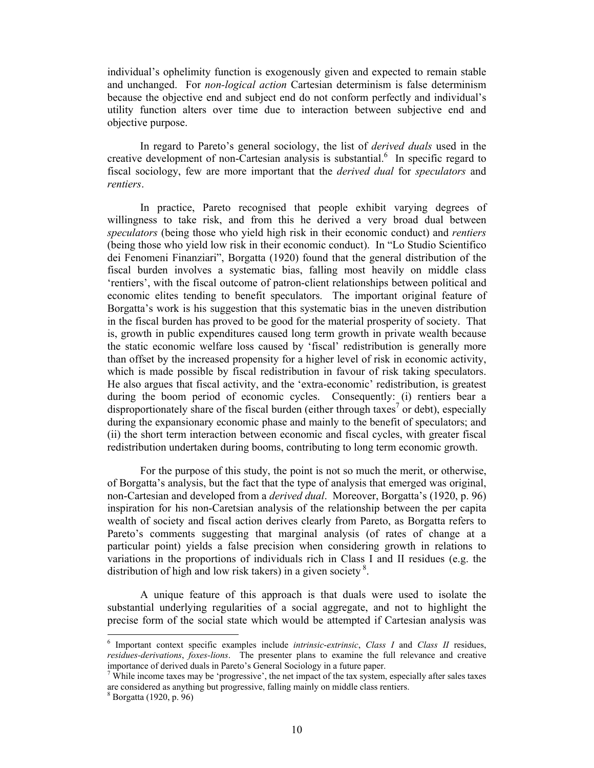individual's ophelimity function is exogenously given and expected to remain stable and unchanged. For *non-logical action* Cartesian determinism is false determinism because the objective end and subject end do not conform perfectly and individual's utility function alters over time due to interaction between subjective end and objective purpose.

In regard to Pareto's general sociology, the list of *derived duals* used in the creative development of non-Cartesian analysis is substantial. $<sup>6</sup>$  In specific regard to</sup> fiscal sociology, few are more important that the *derived dual* for *speculators* and *rentiers*.

In practice, Pareto recognised that people exhibit varying degrees of willingness to take risk, and from this he derived a very broad dual between *speculators* (being those who yield high risk in their economic conduct) and *rentiers* (being those who yield low risk in their economic conduct). In "Lo Studio Scientifico dei Fenomeni Finanziari", Borgatta (1920) found that the general distribution of the fiscal burden involves a systematic bias, falling most heavily on middle class 'rentiers', with the fiscal outcome of patron-client relationships between political and economic elites tending to benefit speculators. The important original feature of Borgatta's work is his suggestion that this systematic bias in the uneven distribution in the fiscal burden has proved to be good for the material prosperity of society. That is, growth in public expenditures caused long term growth in private wealth because the static economic welfare loss caused by 'fiscal' redistribution is generally more than offset by the increased propensity for a higher level of risk in economic activity, which is made possible by fiscal redistribution in favour of risk taking speculators. He also argues that fiscal activity, and the 'extra-economic' redistribution, is greatest during the boom period of economic cycles. Consequently: (i) rentiers bear a disproportionately share of the fiscal burden (either through taxes<sup>7</sup> or debt), especially during the expansionary economic phase and mainly to the benefit of speculators; and (ii) the short term interaction between economic and fiscal cycles, with greater fiscal redistribution undertaken during booms, contributing to long term economic growth.

For the purpose of this study, the point is not so much the merit, or otherwise, of Borgatta's analysis, but the fact that the type of analysis that emerged was original, non-Cartesian and developed from a *derived dual*. Moreover, Borgatta's (1920, p. 96) inspiration for his non-Caretsian analysis of the relationship between the per capita wealth of society and fiscal action derives clearly from Pareto, as Borgatta refers to Pareto's comments suggesting that marginal analysis (of rates of change at a particular point) yields a false precision when considering growth in relations to variations in the proportions of individuals rich in Class I and II residues (e.g. the distribution of high and low risk takers) in a given society.<sup>8</sup>.

A unique feature of this approach is that duals were used to isolate the substantial underlying regularities of a social aggregate, and not to highlight the precise form of the social state which would be attempted if Cartesian analysis was

<sup>6</sup> Important context specific examples include *intrinsic*-*extrinsic*, *Class I* and *Class II* residues, *residues-derivations*, *foxes-lions*. The presenter plans to examine the full relevance and creative importance of derived duals in Pareto's General Sociology in a future paper.

 $7$  While income taxes may be 'progressive', the net impact of the tax system, especially after sales taxes are considered as anything but progressive, falling mainly on middle class rentiers.

<sup>8</sup> Borgatta (1920, p. 96)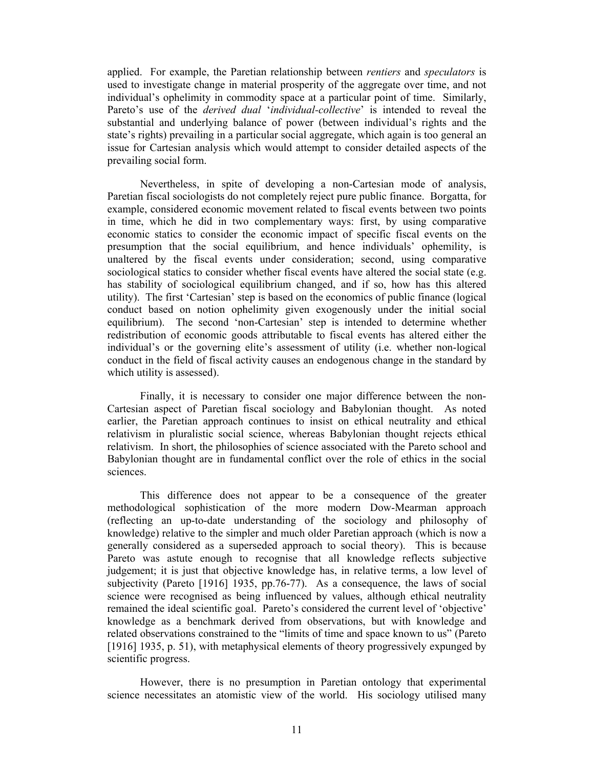applied. For example, the Paretian relationship between *rentiers* and *speculators* is used to investigate change in material prosperity of the aggregate over time, and not individual's ophelimity in commodity space at a particular point of time. Similarly, Pareto's use of the *derived dual* '*individual-collective*' is intended to reveal the substantial and underlying balance of power (between individual's rights and the state's rights) prevailing in a particular social aggregate, which again is too general an issue for Cartesian analysis which would attempt to consider detailed aspects of the prevailing social form.

Nevertheless, in spite of developing a non-Cartesian mode of analysis, Paretian fiscal sociologists do not completely reject pure public finance. Borgatta, for example, considered economic movement related to fiscal events between two points in time, which he did in two complementary ways: first, by using comparative economic statics to consider the economic impact of specific fiscal events on the presumption that the social equilibrium, and hence individuals' ophemility, is unaltered by the fiscal events under consideration; second, using comparative sociological statics to consider whether fiscal events have altered the social state (e.g. has stability of sociological equilibrium changed, and if so, how has this altered utility). The first 'Cartesian' step is based on the economics of public finance (logical conduct based on notion ophelimity given exogenously under the initial social equilibrium). The second 'non-Cartesian' step is intended to determine whether redistribution of economic goods attributable to fiscal events has altered either the individual's or the governing elite's assessment of utility (i.e. whether non-logical conduct in the field of fiscal activity causes an endogenous change in the standard by which utility is assessed).

Finally, it is necessary to consider one major difference between the non-Cartesian aspect of Paretian fiscal sociology and Babylonian thought. As noted earlier, the Paretian approach continues to insist on ethical neutrality and ethical relativism in pluralistic social science, whereas Babylonian thought rejects ethical relativism. In short, the philosophies of science associated with the Pareto school and Babylonian thought are in fundamental conflict over the role of ethics in the social sciences.

This difference does not appear to be a consequence of the greater methodological sophistication of the more modern Dow-Mearman approach (reflecting an up-to-date understanding of the sociology and philosophy of knowledge) relative to the simpler and much older Paretian approach (which is now a generally considered as a superseded approach to social theory). This is because Pareto was astute enough to recognise that all knowledge reflects subjective judgement; it is just that objective knowledge has, in relative terms, a low level of subjectivity (Pareto [1916] 1935, pp.76-77). As a consequence, the laws of social science were recognised as being influenced by values, although ethical neutrality remained the ideal scientific goal. Pareto's considered the current level of 'objective' knowledge as a benchmark derived from observations, but with knowledge and related observations constrained to the "limits of time and space known to us" (Pareto [1916] 1935, p. 51), with metaphysical elements of theory progressively expunged by scientific progress.

However, there is no presumption in Paretian ontology that experimental science necessitates an atomistic view of the world. His sociology utilised many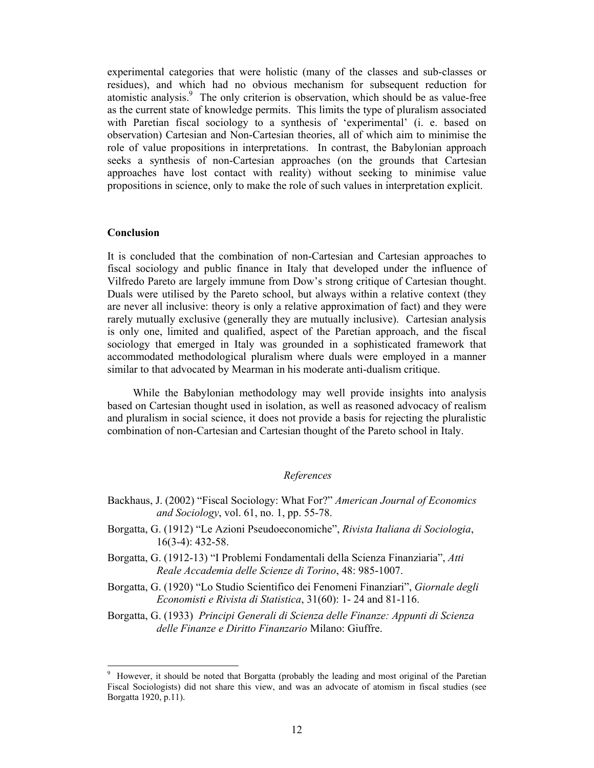experimental categories that were holistic (many of the classes and sub-classes or residues), and which had no obvious mechanism for subsequent reduction for atomistic analysis.<sup>9</sup> The only criterion is observation, which should be as value-free as the current state of knowledge permits. This limits the type of pluralism associated with Paretian fiscal sociology to a synthesis of 'experimental' (i. e. based on observation) Cartesian and Non-Cartesian theories, all of which aim to minimise the role of value propositions in interpretations. In contrast, the Babylonian approach seeks a synthesis of non-Cartesian approaches (on the grounds that Cartesian approaches have lost contact with reality) without seeking to minimise value propositions in science, only to make the role of such values in interpretation explicit.

### **Conclusion**

It is concluded that the combination of non-Cartesian and Cartesian approaches to fiscal sociology and public finance in Italy that developed under the influence of Vilfredo Pareto are largely immune from Dow's strong critique of Cartesian thought. Duals were utilised by the Pareto school, but always within a relative context (they are never all inclusive: theory is only a relative approximation of fact) and they were rarely mutually exclusive (generally they are mutually inclusive). Cartesian analysis is only one, limited and qualified, aspect of the Paretian approach, and the fiscal sociology that emerged in Italy was grounded in a sophisticated framework that accommodated methodological pluralism where duals were employed in a manner similar to that advocated by Mearman in his moderate anti-dualism critique.

While the Babylonian methodology may well provide insights into analysis based on Cartesian thought used in isolation, as well as reasoned advocacy of realism and pluralism in social science, it does not provide a basis for rejecting the pluralistic combination of non-Cartesian and Cartesian thought of the Pareto school in Italy.

## *References*

- Backhaus, J. (2002) "Fiscal Sociology: What For?" *American Journal of Economics and Sociology*, vol. 61, no. 1, pp. 55-78.
- Borgatta, G. (1912) "Le Azioni Pseudoeconomiche", *Rivista Italiana di Sociologia*, 16(3-4): 432-58.
- Borgatta, G. (1912-13) "I Problemi Fondamentali della Scienza Finanziaria", *Atti Reale Accademia delle Scienze di Torino*, 48: 985-1007.
- Borgatta, G. (1920) "Lo Studio Scientifico dei Fenomeni Finanziari", *Giornale degli Economisti e Rivista di Statistica*, 31(60): 1- 24 and 81-116.
- Borgatta, G. (1933) *Principi Generali di Scienza delle Finanze: Appunti di Scienza delle Finanze e Diritto Finanzario* Milano: Giuffre.

<sup>9</sup> However, it should be noted that Borgatta (probably the leading and most original of the Paretian Fiscal Sociologists) did not share this view, and was an advocate of atomism in fiscal studies (see Borgatta 1920, p.11).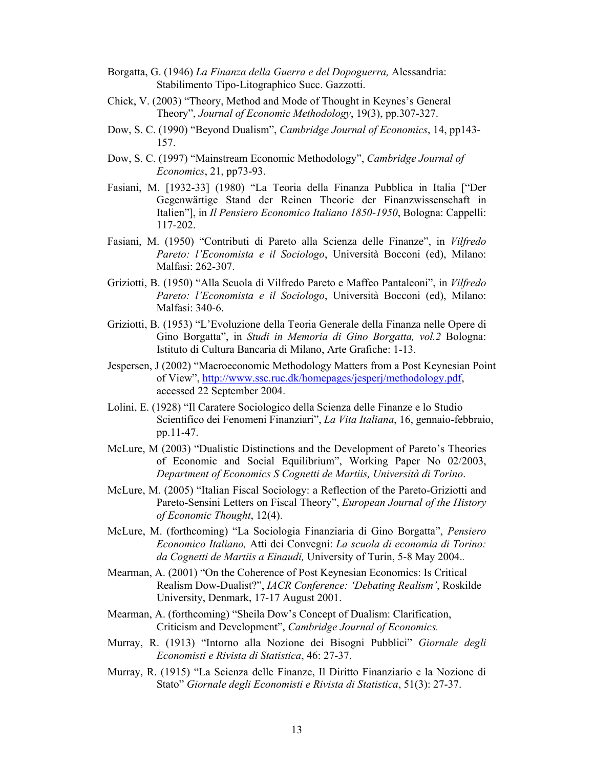- Borgatta, G. (1946) *La Finanza della Guerra e del Dopoguerra,* Alessandria: Stabilimento Tipo-Litographico Succ. Gazzotti.
- Chick, V. (2003) "Theory, Method and Mode of Thought in Keynes's General Theory", *Journal of Economic Methodology*, 19(3), pp.307-327.
- Dow, S. C. (1990) "Beyond Dualism", *Cambridge Journal of Economics*, 14, pp143- 157.
- Dow, S. C. (1997) "Mainstream Economic Methodology", *Cambridge Journal of Economics*, 21, pp73-93.
- Fasiani, M. [1932-33] (1980) "La Teoria della Finanza Pubblica in Italia ["Der Gegenwärtige Stand der Reinen Theorie der Finanzwissenschaft in Italien"], in *Il Pensiero Economico Italiano 1850-1950*, Bologna: Cappelli: 117-202.
- Fasiani, M. (1950) "Contributi di Pareto alla Scienza delle Finanze", in *Vilfredo Pareto: l'Economista e il Sociologo*, Università Bocconi (ed), Milano: Malfasi: 262-307.
- Griziotti, B. (1950) "Alla Scuola di Vilfredo Pareto e Maffeo Pantaleoni", in *Vilfredo Pareto: l'Economista e il Sociologo*, Università Bocconi (ed), Milano: Malfasi: 340-6.
- Griziotti, B. (1953) "L'Evoluzione della Teoria Generale della Finanza nelle Opere di Gino Borgatta", in *Studi in Memoria di Gino Borgatta, vol.2* Bologna: Istituto di Cultura Bancaria di Milano, Arte Grafiche: 1-13.
- Jespersen, J (2002) "Macroeconomic Methodology Matters from a Post Keynesian Point of View", http://www.ssc.ruc.dk/homepages/jesperj/methodology.pdf, accessed 22 September 2004.
- Lolini, E. (1928) "Il Caratere Sociologico della Scienza delle Finanze e lo Studio Scientifico dei Fenomeni Finanziari", *La Vita Italiana*, 16, gennaio-febbraio, pp.11-47.
- McLure, M (2003) "Dualistic Distinctions and the Development of Pareto's Theories of Economic and Social Equilibrium", Working Paper No 02/2003, *Department of Economics S Cognetti de Martiis, Università di Torino*.
- McLure, M. (2005) "Italian Fiscal Sociology: a Reflection of the Pareto-Griziotti and Pareto-Sensini Letters on Fiscal Theory", *European Journal of the History of Economic Thought*, 12(4).
- McLure, M. (forthcoming) "La Sociologia Finanziaria di Gino Borgatta", *Pensiero Economico Italiano,* Atti dei Convegni: *La scuola di economia di Torino: da Cognetti de Martiis a Einaudi,* University of Turin, 5-8 May 2004.*.*
- Mearman, A. (2001) "On the Coherence of Post Keynesian Economics: Is Critical Realism Dow-Dualist?", *IACR Conference: 'Debating Realism'*, Roskilde University, Denmark, 17-17 August 2001.
- Mearman, A. (forthcoming) "Sheila Dow's Concept of Dualism: Clarification, Criticism and Development", *Cambridge Journal of Economics.*
- Murray, R. (1913) "Intorno alla Nozione dei Bisogni Pubblici" *Giornale degli Economisti e Rivista di Statistica*, 46: 27-37.
- Murray, R. (1915) "La Scienza delle Finanze, Il Diritto Finanziario e la Nozione di Stato" *Giornale degli Economisti e Rivista di Statistica*, 51(3): 27-37.